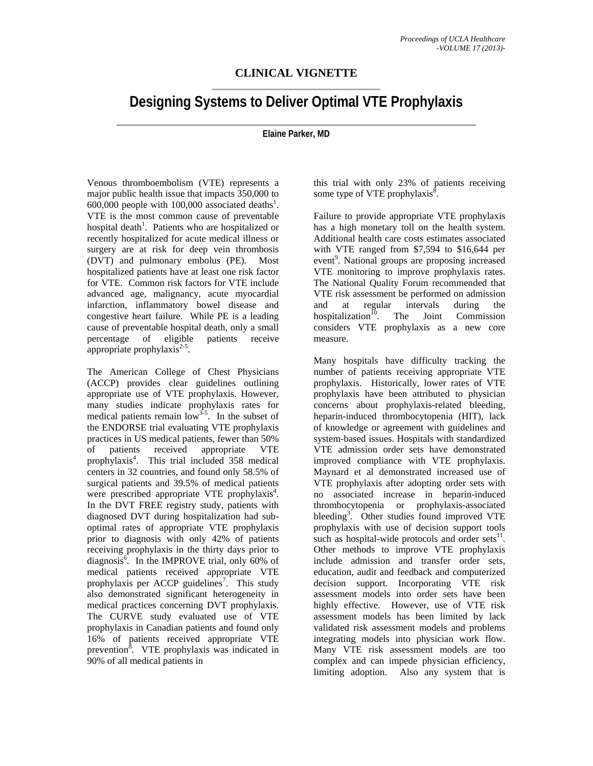## **CLINICAL VIGNETTE**

## **Designing Systems to Deliver Optimal VTE Prophylaxis**

## **Elaine Parker, MD**

Venous thromboembolism (VTE) represents a major public health issue that impacts 350,000 to  $600,000$  people with 100,000 associated deaths<sup>1</sup>. VTE is the most common cause of preventable hospital death<sup>1</sup>. Patients who are hospitalized or recently hospitalized for acute medical illness or surgery are at risk for deep vein thrombosis (DVT) and pulmonary embolus (PE). Most hospitalized patients have at least one risk factor for VTE. Common risk factors for VTE include advanced age, malignancy, acute myocardial infarction, inflammatory bowel disease and congestive heart failure. While PE is a leading cause of preventable hospital death, only a small percentage of eligible patients receive appropriate prophylaxis $2-5$ .

The American College of Chest Physicians (ACCP) provides clear guidelines outlining appropriate use of VTE prophylaxis. However, many studies indicate prophylaxis rates for medical patients remain  $\int_0^{\infty}$   $\int_0^{3.5}$ . In the subset of the ENDORSE trial evaluating VTE prophylaxis practices in US medical patients, fewer than 50% of patients received appropriate VTE prophylaxis<sup>4</sup>. This trial included 358 medical centers in 32 countries, and found only 58.5% of surgical patients and 39.5% of medical patients were prescribed appropriate VTE prophylaxis<sup>4</sup>. In the DVT FREE registry study, patients with diagnosed DVT during hospitalization had suboptimal rates of appropriate VTE prophylaxis prior to diagnosis with only 42% of patients receiving prophylaxis in the thirty days prior to diagnosis<sup>6</sup>. In the IMPROVE trial, only 60% of medical patients received appropriate VTE prophylaxis per ACCP guidelines<sup>7</sup>. This study also demonstrated significant heterogeneity in medical practices concerning DVT prophylaxis. The CURVE study evaluated use of VTE prophylaxis in Canadian patients and found only 16% of patients received appropriate VTE prevention $\hat{\delta}$ . VTE prophylaxis was indicated in 90% of all medical patients in

this trial with only 23% of patients receiving some type of VTE prophylaxis<sup>8</sup>.

Failure to provide appropriate VTE prophylaxis has a high monetary toll on the health system. Additional health care costs estimates associated with VTE ranged from \$7,594 to \$16,644 per event<sup>9</sup>. National groups are proposing increased VTE monitoring to improve prophylaxis rates. The National Quality Forum recommended that VTE risk assessment be performed on admission and at regular intervals during the hospitalization $\overline{10}$ . The Joint Commission considers VTE prophylaxis as a new core measure.

Many hospitals have difficulty tracking the number of patients receiving appropriate VTE prophylaxis. Historically, lower rates of VTE prophylaxis have been attributed to physician concerns about prophylaxis-related bleeding, heparin-induced thrombocytopenia (HIT), lack of knowledge or agreement with guidelines and system-based issues. Hospitals with standardized VTE admission order sets have demonstrated improved compliance with VTE prophylaxis. Maynard et al demonstrated increased use of VTE prophylaxis after adopting order sets with no associated increase in heparin-induced thrombocytopenia or prophylaxis-associated bleeding<sup>3</sup>. Other studies found improved VTE prophylaxis with use of decision support tools such as hospital-wide protocols and order sets $^{11}$ . Other methods to improve VTE prophylaxis include admission and transfer order sets, education, audit and feedback and computerized decision support. Incorporating VTE risk assessment models into order sets have been highly effective. However, use of VTE risk assessment models has been limited by lack validated risk assessment models and problems integrating models into physician work flow. Many VTE risk assessment models are too complex and can impede physician efficiency, limiting adoption. Also any system that is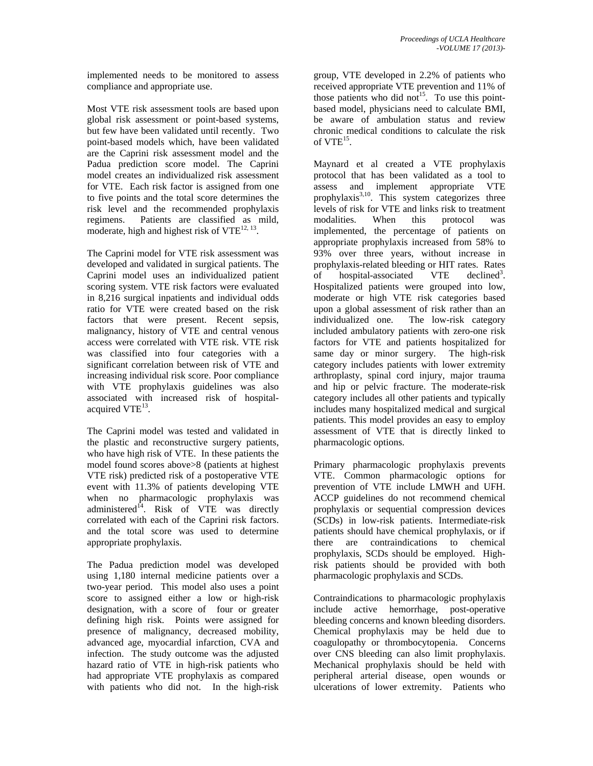implemented needs to be monitored to assess compliance and appropriate use.

Most VTE risk assessment tools are based upon global risk assessment or point-based systems, but few have been validated until recently. Two point-based models which, have been validated are the Caprini risk assessment model and the Padua prediction score model. The Caprini model creates an individualized risk assessment for VTE. Each risk factor is assigned from one to five points and the total score determines the risk level and the recommended prophylaxis regimens. Patients are classified as mild, moderate, high and highest risk of  $VTE^{12, 13}$ .

The Caprini model for VTE risk assessment was developed and validated in surgical patients. The Caprini model uses an individualized patient scoring system. VTE risk factors were evaluated in 8,216 surgical inpatients and individual odds ratio for VTE were created based on the risk factors that were present. Recent sepsis, malignancy, history of VTE and central venous access were correlated with VTE risk. VTE risk was classified into four categories with a significant correlation between risk of VTE and increasing individual risk score. Poor compliance with VTE prophylaxis guidelines was also associated with increased risk of hospitalacquired  $VTE^{13}$ .

The Caprini model was tested and validated in the plastic and reconstructive surgery patients, who have high risk of VTE. In these patients the model found scores above>8 (patients at highest VTE risk) predicted risk of a postoperative VTE event with 11.3% of patients developing VTE when no pharmacologic prophylaxis was administered<sup>14</sup>. Risk of VTE was directly correlated with each of the Caprini risk factors. and the total score was used to determine appropriate prophylaxis.

The Padua prediction model was developed using 1,180 internal medicine patients over a two-year period. This model also uses a point score to assigned either a low or high-risk designation, with a score of four or greater defining high risk. Points were assigned for presence of malignancy, decreased mobility, advanced age, myocardial infarction, CVA and infection. The study outcome was the adjusted hazard ratio of VTE in high-risk patients who had appropriate VTE prophylaxis as compared with patients who did not. In the high-risk

group, VTE developed in 2.2% of patients who received appropriate VTE prevention and 11% of those patients who did not<sup>15</sup>. To use this pointbased model, physicians need to calculate BMI, be aware of ambulation status and review chronic medical conditions to calculate the risk of  $VTE^{15}$ .

Maynard et al created a VTE prophylaxis protocol that has been validated as a tool to assess and implement appropriate VTE prophylaxis $^{3,10}$ . This system categorizes three levels of risk for VTE and links risk to treatment modalities. When this protocol was implemented, the percentage of patients on appropriate prophylaxis increased from 58% to 93% over three years, without increase in prophylaxis-related bleeding or HIT rates. Rates of hospital-associated VTE  $\text{decimal}^3$ . Hospitalized patients were grouped into low, moderate or high VTE risk categories based upon a global assessment of risk rather than an individualized one. The low-risk category included ambulatory patients with zero-one risk factors for VTE and patients hospitalized for same day or minor surgery. The high-risk category includes patients with lower extremity arthroplasty, spinal cord injury, major trauma and hip or pelvic fracture. The moderate-risk category includes all other patients and typically includes many hospitalized medical and surgical patients. This model provides an easy to employ assessment of VTE that is directly linked to pharmacologic options.

Primary pharmacologic prophylaxis prevents VTE. Common pharmacologic options for prevention of VTE include LMWH and UFH. ACCP guidelines do not recommend chemical prophylaxis or sequential compression devices (SCDs) in low-risk patients. Intermediate-risk patients should have chemical prophylaxis, or if there are contraindications to chemical prophylaxis, SCDs should be employed. Highrisk patients should be provided with both pharmacologic prophylaxis and SCDs.

Contraindications to pharmacologic prophylaxis include active hemorrhage, post-operative bleeding concerns and known bleeding disorders. Chemical prophylaxis may be held due to coagulopathy or thrombocytopenia. Concerns over CNS bleeding can also limit prophylaxis. Mechanical prophylaxis should be held with peripheral arterial disease, open wounds or ulcerations of lower extremity. Patients who